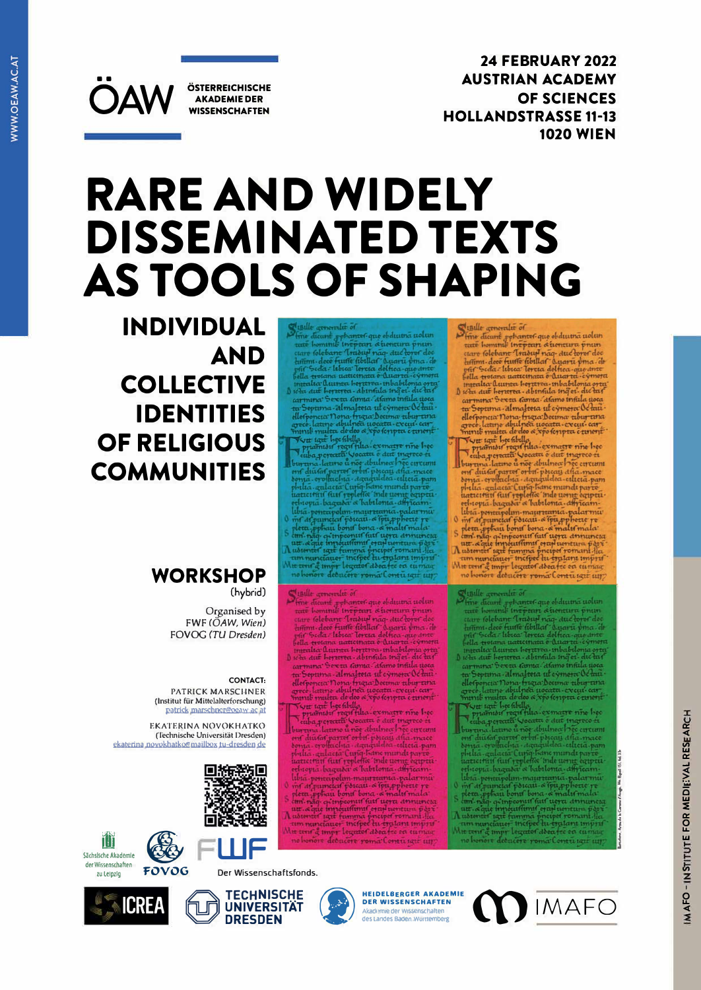ÖSTERREICHISCHE **AKADEMIE DER WISSENSCHAFTEN** 

**OAW** 

**24 FEBRUARY 2022 AUSTRIAN ACADEMY** OF SCIENCES **HOLLANDSTRASSE 11-13 1020 WIEN** 

# **RARE AND WIDELY DISSEMINATED TEXTS AS TOOLS OF SHAPING**

**INDIVIDUAL AND COLLECTIVE IDENTITIES OF RELIGIOUS COMMUNITIES** 

# **WORKSHOP** (hybrid)

Organised by FWF (OAW, Wien) FOVOG (TU Dresden)

#### **CONTACT:**

PATRICK MARSCHNER (Institut für Mittelalterforschung) patrick marschner@oeaw.ac at

EKATERINA NOVOKHATKO (Technische Universität Dresden) ekaterina.novokhatko@mailbox.tu-dresden.de







FOVOG









- $\begin{tabular}{|c|c|} \hline \textbf{Single} generalité of \\ \hline \textbf{Simple} demand if of the data of the data and the data of the data of the data. The data of the data of the data of the data. The data of the data of the data of the data and the data of the data. The data of the data of the data and the data of the data and the data of the data. The data of the data of the data of the data and the data of the data. The data of the data of the data of the data, the data of the data. The data of the data of the data of the data. The data of the data of the data of the data. The data of the data of the data, the data of the data, the data of the data. The data of the data is the data of the data. The data of the data is the data. The data of the data is the data. The data of the data is$ 
	-

- 
- 
- 
- 

Similar generality of<br>
Final distinction of the state of the distinction of the distinction<br>
tare (olelower Training angle distinction prime) distinction of the<br>
firms does further field at American prime and prime distin

quer latine de des a resolutions

**DER WISSENSCHAFTEN** Akademie der Wissenschaften<br>des Landes Baden-Württemberg

ra fre on cuma



ent diutat parter orbit porcaj dia mace<br>sonta - erofinchia - agugulelea - altera pamplelia - agugulelea - altera pam<br>la - agugulelea - altera pample parter<br>attentari fust repletis, inde uson e exprimed<br>religion - barricolo

Der Wissenschaftsfonds.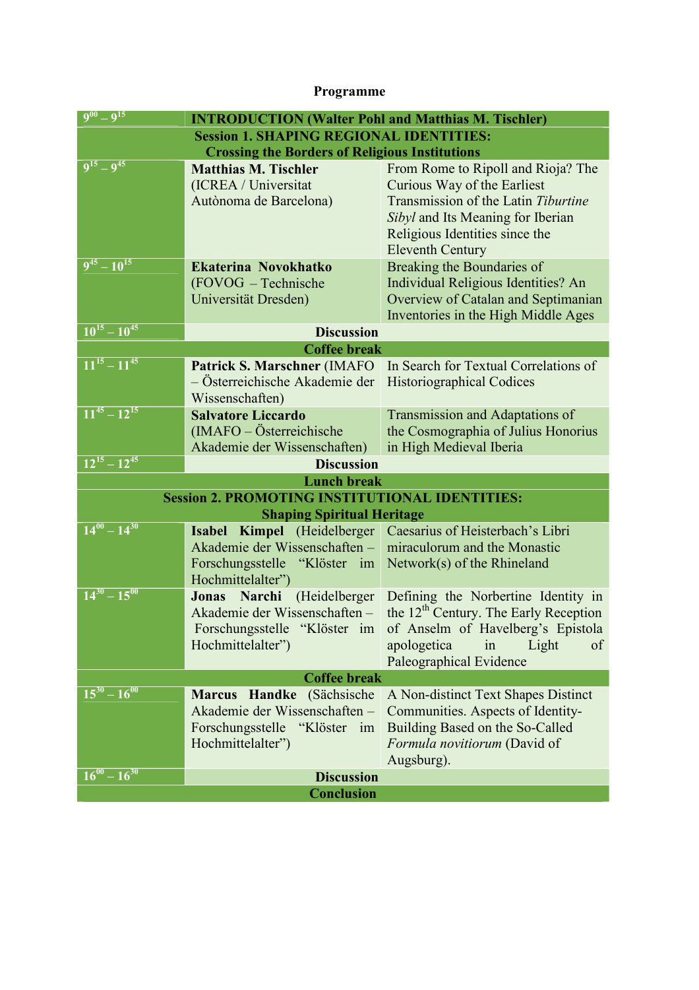# **Programme**

| $9^{00} - 9^{15}$                                     | <b>INTRODUCTION (Walter Pohl and Matthias M. Tischler)</b> |                                                   |
|-------------------------------------------------------|------------------------------------------------------------|---------------------------------------------------|
| <b>Session 1. SHAPING REGIONAL IDENTITIES:</b>        |                                                            |                                                   |
| <b>Crossing the Borders of Religious Institutions</b> |                                                            |                                                   |
| $9^{15} - 9^{45}$                                     | <b>Matthias M. Tischler</b>                                | From Rome to Ripoll and Rioja? The                |
|                                                       | (ICREA / Universitat                                       | Curious Way of the Earliest                       |
|                                                       | Autònoma de Barcelona)                                     | Transmission of the Latin Tiburtine               |
|                                                       |                                                            | Sibyl and Its Meaning for Iberian                 |
|                                                       |                                                            | Religious Identities since the                    |
|                                                       |                                                            | <b>Eleventh Century</b>                           |
| $9^{45} - 10^{15}$                                    | Ekaterina Novokhatko                                       | Breaking the Boundaries of                        |
|                                                       | (FOVOG - Technische                                        | Individual Religious Identities? An               |
|                                                       | Universität Dresden)                                       | Overview of Catalan and Septimanian               |
|                                                       |                                                            | Inventories in the High Middle Ages               |
| $10^{15} - 10^{45}$                                   | <b>Discussion</b>                                          |                                                   |
| <b>Coffee break</b>                                   |                                                            |                                                   |
| $11^{15} - 11^{45}$                                   | Patrick S. Marschner (IMAFO                                | In Search for Textual Correlations of             |
|                                                       | - Österreichische Akademie der                             | <b>Historiographical Codices</b>                  |
|                                                       | Wissenschaften)                                            |                                                   |
| $11^{45} - 12^{15}$                                   | <b>Salvatore Liccardo</b>                                  | Transmission and Adaptations of                   |
|                                                       | (IMAFO – Österreichische                                   | the Cosmographia of Julius Honorius               |
|                                                       | Akademie der Wissenschaften)                               | in High Medieval Iberia                           |
| $12^{15} - 12^{45}$                                   | <b>Discussion</b>                                          |                                                   |
| <b>Lunch break</b>                                    |                                                            |                                                   |
| <b>Session 2. PROMOTING INSTITUTIONAL IDENTITIES:</b> |                                                            |                                                   |
| <b>Shaping Spiritual Heritage</b>                     |                                                            |                                                   |
| $14^{00} - 14^{30}$                                   | Kimpel (Heidelberger<br><b>Isabel</b>                      | Caesarius of Heisterbach's Libri                  |
|                                                       | Akademie der Wissenschaften -                              | miraculorum and the Monastic                      |
|                                                       | Forschungsstelle "Klöster im                               | Network(s) of the Rhineland                       |
|                                                       | Hochmittelalter")                                          |                                                   |
| $14^{30} - 15^{00}$                                   | Narchi (Heidelberger<br>Jonas                              | Defining the Norbertine Identity in               |
|                                                       | Akademie der Wissenschaften-                               | the 12 <sup>th</sup> Century. The Early Reception |
|                                                       | Forschungsstelle "Klöster im                               | of Anselm of Havelberg's Epistola                 |
|                                                       | Hochmittelalter")                                          | of<br>apologetica<br>Light<br>in                  |
|                                                       |                                                            | Paleographical Evidence                           |
| <b>Coffee break</b>                                   |                                                            |                                                   |
| $15^{30} - 16^{00}$                                   | Marcus Handke (Sächsische                                  | A Non-distinct Text Shapes Distinct               |
|                                                       | Akademie der Wissenschaften -                              | Communities. Aspects of Identity-                 |
|                                                       | Forschungsstelle "Klöster im                               | Building Based on the So-Called                   |
|                                                       | Hochmittelalter")                                          | Formula novitiorum (David of                      |
|                                                       |                                                            | Augsburg).                                        |
| $16^{00} - 16^{30}$                                   | <b>Discussion</b>                                          |                                                   |
| <b>Conclusion</b>                                     |                                                            |                                                   |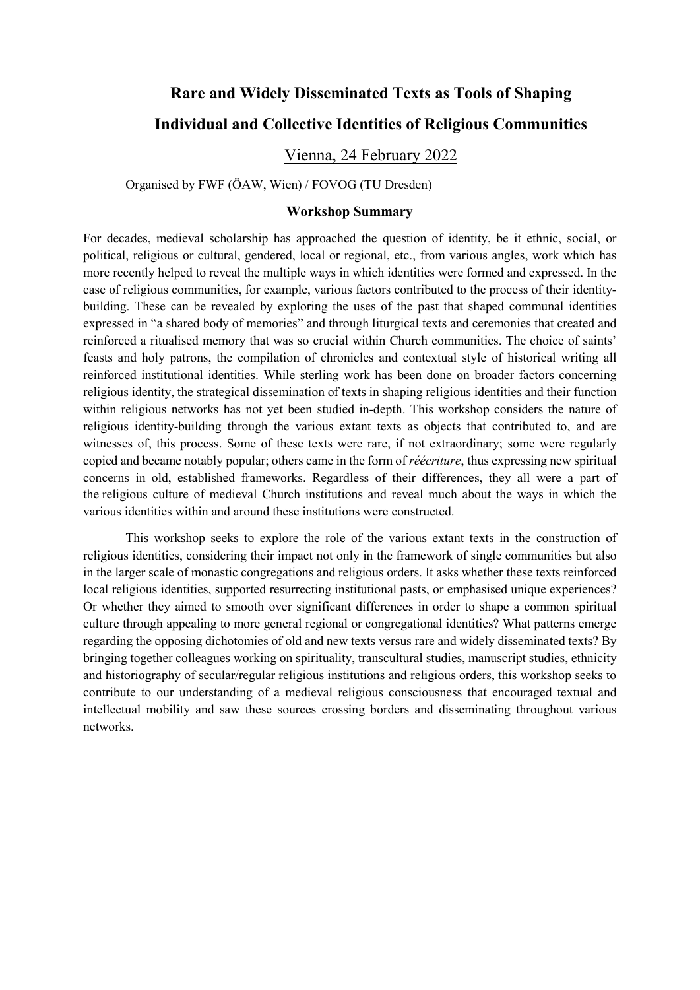# **Rare and Widely Disseminated Texts as Tools of Shaping Individual and Collective Identities of Religious Communities**

# Vienna, 24 February 2022

Organised by FWF (ÖAW, Wien) / FOVOG (TU Dresden)

### **Workshop Summary**

For decades, medieval scholarship has approached the question of identity, be it ethnic, social, or political, religious or cultural, gendered, local or regional, etc., from various angles, work which has more recently helped to reveal the multiple ways in which identities were formed and expressed. In the case of religious communities, for example, various factors contributed to the process of their identitybuilding. These can be revealed by exploring the uses of the past that shaped communal identities expressed in "a shared body of memories" and through liturgical texts and ceremonies that created and reinforced a ritualised memory that was so crucial within Church communities. The choice of saints' feasts and holy patrons, the compilation of chronicles and contextual style of historical writing all reinforced institutional identities. While sterling work has been done on broader factors concerning religious identity, the strategical dissemination of texts in shaping religious identities and their function within religious networks has not yet been studied in-depth. This workshop considers the nature of religious identity-building through the various extant texts as objects that contributed to, and are witnesses of, this process. Some of these texts were rare, if not extraordinary; some were regularly copied and became notably popular; others came in the form of *réécriture*, thus expressing new spiritual concerns in old, established frameworks. Regardless of their differences, they all were a part of the religious culture of medieval Church institutions and reveal much about the ways in which the various identities within and around these institutions were constructed.

This workshop seeks to explore the role of the various extant texts in the construction of religious identities, considering their impact not only in the framework of single communities but also in the larger scale of monastic congregations and religious orders. It asks whether these texts reinforced local religious identities, supported resurrecting institutional pasts, or emphasised unique experiences? Or whether they aimed to smooth over significant differences in order to shape a common spiritual culture through appealing to more general regional or congregational identities? What patterns emerge regarding the opposing dichotomies of old and new texts versus rare and widely disseminated texts? By bringing together colleagues working on spirituality, transcultural studies, manuscript studies, ethnicity and historiography of secular/regular religious institutions and religious orders, this workshop seeks to contribute to our understanding of a medieval religious consciousness that encouraged textual and intellectual mobility and saw these sources crossing borders and disseminating throughout various networks.